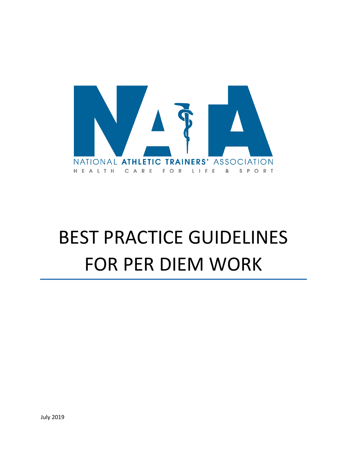

# BEST PRACTICE GUIDELINES FOR PER DIEM WORK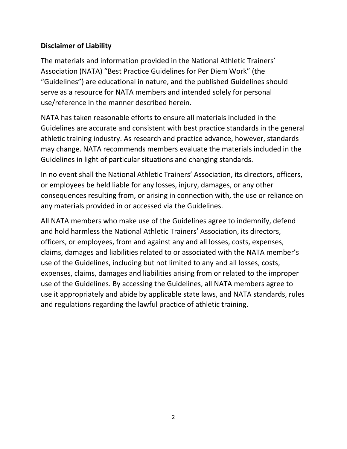# **Disclaimer of Liability**

The materials and information provided in the National Athletic Trainers' Association (NATA) "Best Practice Guidelines for Per Diem Work" (the "Guidelines") are educational in nature, and the published Guidelines should serve as a resource for NATA members and intended solely for personal use/reference in the manner described herein.

NATA has taken reasonable efforts to ensure all materials included in the Guidelines are accurate and consistent with best practice standards in the general athletic training industry. As research and practice advance, however, standards may change. NATA recommends members evaluate the materials included in the Guidelines in light of particular situations and changing standards.

In no event shall the National Athletic Trainers' Association, its directors, officers, or employees be held liable for any losses, injury, damages, or any other consequences resulting from, or arising in connection with, the use or reliance on any materials provided in or accessed via the Guidelines.

All NATA members who make use of the Guidelines agree to indemnify, defend and hold harmless the National Athletic Trainers' Association, its directors, officers, or employees, from and against any and all losses, costs, expenses, claims, damages and liabilities related to or associated with the NATA member's use of the Guidelines, including but not limited to any and all losses, costs, expenses, claims, damages and liabilities arising from or related to the improper use of the Guidelines. By accessing the Guidelines, all NATA members agree to use it appropriately and abide by applicable state laws, and NATA standards, rules and regulations regarding the lawful practice of athletic training.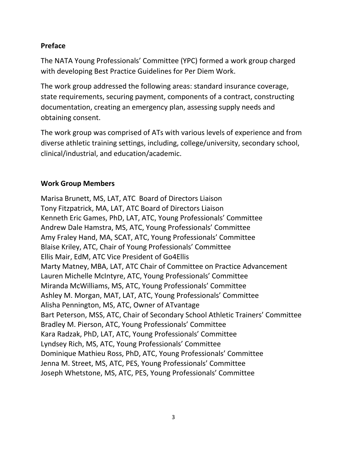#### **Preface**

The NATA Young Professionals' Committee (YPC) formed a work group charged with developing Best Practice Guidelines for Per Diem Work.

The work group addressed the following areas: standard insurance coverage, state requirements, securing payment, components of a contract, constructing documentation, creating an emergency plan, assessing supply needs and obtaining consent.

The work group was comprised of ATs with various levels of experience and from diverse athletic training settings, including, college/university, secondary school, clinical/industrial, and education/academic.

#### **Work Group Members**

Marisa Brunett, MS, LAT, ATC Board of Directors Liaison Tony Fitzpatrick, MA, LAT, ATC Board of Directors Liaison Kenneth Eric Games, PhD, LAT, ATC, Young Professionals' Committee Andrew Dale Hamstra, MS, ATC, Young Professionals' Committee Amy Fraley Hand, MA, SCAT, ATC, Young Professionals' Committee Blaise Kriley, ATC, Chair of Young Professionals' Committee Ellis Mair, EdM, ATC Vice President of Go4Ellis Marty Matney, MBA, LAT, ATC Chair of Committee on Practice Advancement Lauren Michelle McIntyre, ATC, Young Professionals' Committee Miranda McWilliams, MS, ATC, Young Professionals' Committee Ashley M. Morgan, MAT, LAT, ATC, Young Professionals' Committee Alisha Pennington, MS, ATC, Owner of ATvantage Bart Peterson, MSS, ATC, Chair of Secondary School Athletic Trainers' Committee Bradley M. Pierson, ATC, Young Professionals' Committee Kara Radzak, PhD, LAT, ATC, Young Professionals' Committee Lyndsey Rich, MS, ATC, Young Professionals' Committee Dominique Mathieu Ross, PhD, ATC, Young Professionals' Committee Jenna M. Street, MS, ATC, PES, Young Professionals' Committee Joseph Whetstone, MS, ATC, PES, Young Professionals' Committee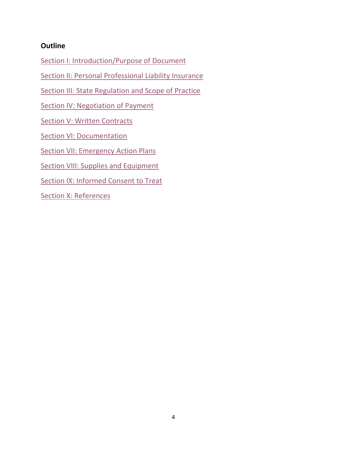#### **Outline**

[Section I: Introduction/Purpose of Document](#page-4-0)

[Section II: Personal Professional Liability Insurance](#page-4-1)

[Section III: State Regulation and Scope of Practice](#page-4-2)

[Section IV: Negotiation of Payment](#page-5-0)

**[Section V: Written Contracts](#page-6-0)** 

**[Section VI: Documentation](#page-7-0)** 

[Section VII: Emergency Action Plans](#page-7-1)

[Section VIII: Supplies and Equipment](#page-8-0)

[Section IX: Informed Consent to Treat](#page-8-1)

[Section X: References](#page-9-0)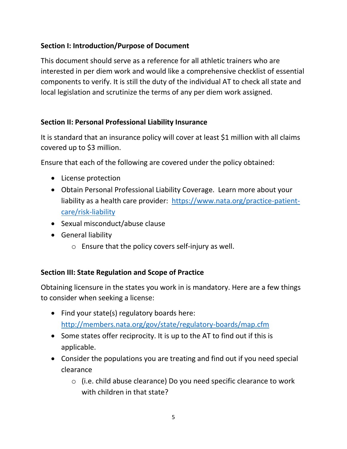## <span id="page-4-0"></span>**Section I: Introduction/Purpose of Document**

This document should serve as a reference for all athletic trainers who are interested in per diem work and would like a comprehensive checklist of essential components to verify. It is still the duty of the individual AT to check all state and local legislation and scrutinize the terms of any per diem work assigned.

#### <span id="page-4-1"></span>**Section II: Personal Professional Liability Insurance**

It is standard that an insurance policy will cover at least \$1 million with all claims covered up to \$3 million.

Ensure that each of the following are covered under the policy obtained:

- License protection
- Obtain Personal Professional Liability Coverage. Learn more about your liability as a health care provider: [https://www.nata.org/practice-patient](https://www.nata.org/practice-patient-care/risk-liability)[care/risk-liability](https://www.nata.org/practice-patient-care/risk-liability)
- Sexual misconduct/abuse clause
- **•** General liability
	- o Ensure that the policy covers self-injury as well.

#### <span id="page-4-2"></span>**Section III: State Regulation and Scope of Practice**

Obtaining licensure in the states you work in is mandatory. Here are a few things to consider when seeking a license:

- Find your state(s) regulatory boards here: <http://members.nata.org/gov/state/regulatory-boards/map.cfm>
- Some states offer reciprocity. It is up to the AT to find out if this is applicable.
- Consider the populations you are treating and find out if you need special clearance
	- o (i.e. child abuse clearance) Do you need specific clearance to work with children in that state?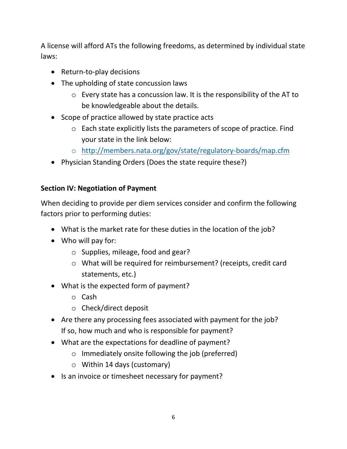A license will afford ATs the following freedoms, as determined by individual state laws:

- Return-to-play decisions
- The upholding of state concussion laws
	- o Every state has a concussion law. It is the responsibility of the AT to be knowledgeable about the details.
- Scope of practice allowed by state practice acts
	- o Each state explicitly lists the parameters of scope of practice. Find your state in the link below:
	- o <http://members.nata.org/gov/state/regulatory-boards/map.cfm>
- Physician Standing Orders (Does the state require these?)

#### <span id="page-5-0"></span>**Section IV: Negotiation of Payment**

When deciding to provide per diem services consider and confirm the following factors prior to performing duties:

- What is the market rate for these duties in the location of the job?
- Who will pay for:
	- o Supplies, mileage, food and gear?
	- o What will be required for reimbursement? (receipts, credit card statements, etc.)
- What is the expected form of payment?
	- o Cash
	- o Check/direct deposit
- Are there any processing fees associated with payment for the job? If so, how much and who is responsible for payment?
- What are the expectations for deadline of payment?
	- o Immediately onsite following the job (preferred)
	- o Within 14 days (customary)
- Is an invoice or timesheet necessary for payment?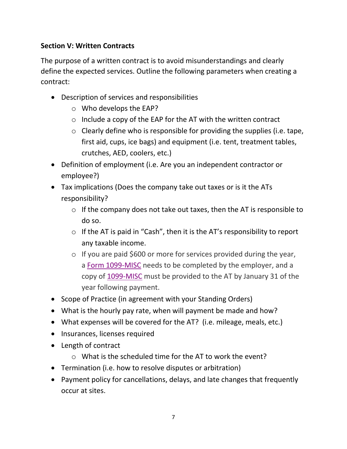# <span id="page-6-0"></span>**Section V: Written Contracts**

The purpose of a written contract is to avoid misunderstandings and clearly define the expected services. Outline the following parameters when creating a contract:

- Description of services and responsibilities
	- o Who develops the EAP?
	- o Include a copy of the EAP for the AT with the written contract
	- $\circ$  Clearly define who is responsible for providing the supplies (i.e. tape, first aid, cups, ice bags) and equipment (i.e. tent, treatment tables, crutches, AED, coolers, etc.)
- Definition of employment (i.e. Are you an independent contractor or employee?)
- Tax implications (Does the company take out taxes or is it the ATs responsibility?
	- $\circ$  If the company does not take out taxes, then the AT is responsible to do so.
	- o If the AT is paid in "Cash", then it is the AT's responsibility to report any taxable income.
	- o If you are paid \$600 or more for services provided during the year, a [Form 1099-MISC](https://www.irs.gov/pub/irs-pdf/f1099msc.pdf) needs to be completed by the employer, and a copy of [1099-MISC](https://www.irs.gov/pub/irs-pdf/f1099msc.pdf) must be provided to the AT by January 31 of the year following payment.
- Scope of Practice (in agreement with your Standing Orders)
- What is the hourly pay rate, when will payment be made and how?
- What expenses will be covered for the AT? (i.e. mileage, meals, etc.)
- Insurances, licenses required
- Length of contract
	- $\circ$  What is the scheduled time for the AT to work the event?
- Termination (i.e. how to resolve disputes or arbitration)
- Payment policy for cancellations, delays, and late changes that frequently occur at sites.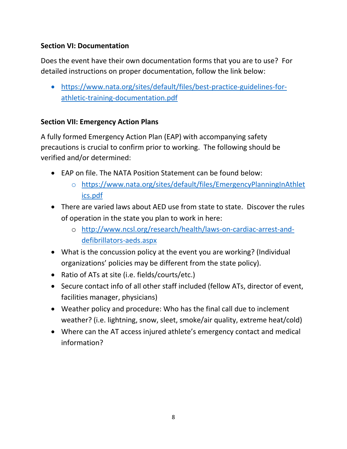# <span id="page-7-0"></span>**Section VI: Documentation**

Does the event have their own documentation forms that you are to use? For detailed instructions on proper documentation, follow the link below:

 [https://www.nata.org/sites/default/files/best-practice-guidelines-for](https://www.nata.org/sites/default/files/best-practice-guidelines-for-athletic-training-documentation.pdf)[athletic-training-documentation.pdf](https://www.nata.org/sites/default/files/best-practice-guidelines-for-athletic-training-documentation.pdf)

# <span id="page-7-1"></span>**Section VII: Emergency Action Plans**

A fully formed Emergency Action Plan (EAP) with accompanying safety precautions is crucial to confirm prior to working. The following should be verified and/or determined:

- EAP on file. The NATA Position Statement can be found below:
	- o [https://www.nata.org/sites/default/files/EmergencyPlanningInAthlet](https://www.nata.org/sites/default/files/EmergencyPlanningInAthletics.pdf) [ics.pdf](https://www.nata.org/sites/default/files/EmergencyPlanningInAthletics.pdf)
- There are varied laws about AED use from state to state. Discover the rules of operation in the state you plan to work in here:
	- o [http://www.ncsl.org/research/health/laws-on-cardiac-arrest-and](http://www.ncsl.org/research/health/laws-on-cardiac-arrest-and-defibrillators-aeds.aspx)[defibrillators-aeds.aspx](http://www.ncsl.org/research/health/laws-on-cardiac-arrest-and-defibrillators-aeds.aspx)
- What is the concussion policy at the event you are working? (Individual organizations' policies may be different from the state policy).
- Ratio of ATs at site (i.e. fields/courts/etc.)
- Secure contact info of all other staff included (fellow ATs, director of event, facilities manager, physicians)
- Weather policy and procedure: Who has the final call due to inclement weather? (i.e. lightning, snow, sleet, smoke/air quality, extreme heat/cold)
- Where can the AT access injured athlete's emergency contact and medical information?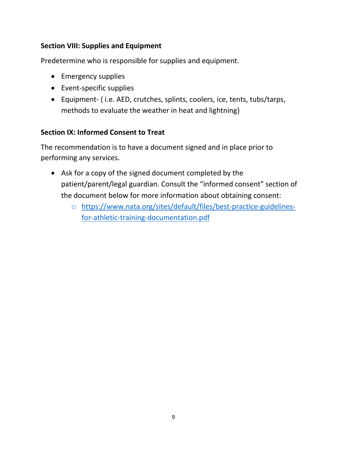## <span id="page-8-0"></span>**Section VIII: Supplies and Equipment**

Predetermine who is responsible for supplies and equipment.

- Emergency supplies
- Event-specific supplies
- Equipment- ( i.e. AED, crutches, splints, coolers, ice, tents, tubs/tarps, methods to evaluate the weather in heat and lightning)

# <span id="page-8-1"></span>**Section IX: Informed Consent to Treat**

The recommendation is to have a document signed and in place prior to performing any services.

- Ask for a copy of the signed document completed by the patient/parent/legal guardian. Consult the "informed consent" section of the document below for more information about obtaining consent:
	- o [https://www.nata.org/sites/default/files/best-practice-guidelines](https://www.nata.org/sites/default/files/best-practice-guidelines-for-athletic-training-documentation.pdf)[for-athletic-training-documentation.pdf](https://www.nata.org/sites/default/files/best-practice-guidelines-for-athletic-training-documentation.pdf)